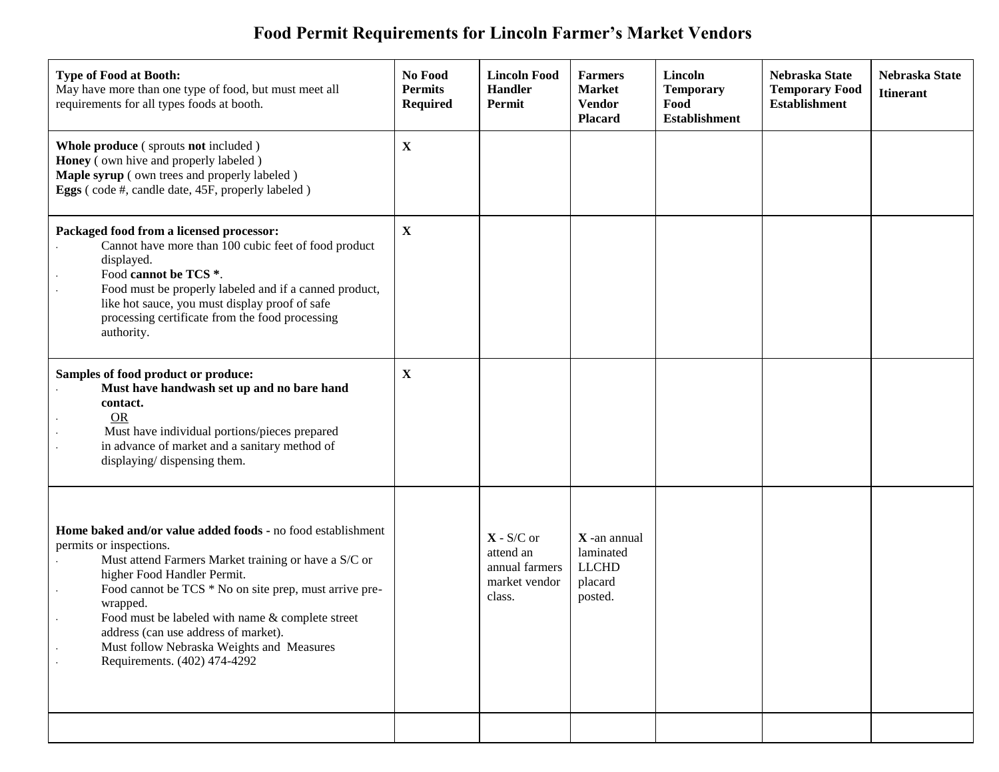## **Food Permit Requirements for Lincoln Farmer's Market Vendors**

| <b>Type of Food at Booth:</b><br>May have more than one type of food, but must meet all<br>requirements for all types foods at booth.                                                                                                                                                                                                                                                                                        | No Food<br><b>Permits</b><br><b>Required</b> | <b>Lincoln Food</b><br><b>Handler</b><br>Permit                        | <b>Farmers</b><br><b>Market</b><br><b>Vendor</b><br><b>Placard</b> | Lincoln<br><b>Temporary</b><br>Food<br><b>Establishment</b> | Nebraska State<br><b>Temporary Food</b><br><b>Establishment</b> | Nebraska State<br><b>Itinerant</b> |
|------------------------------------------------------------------------------------------------------------------------------------------------------------------------------------------------------------------------------------------------------------------------------------------------------------------------------------------------------------------------------------------------------------------------------|----------------------------------------------|------------------------------------------------------------------------|--------------------------------------------------------------------|-------------------------------------------------------------|-----------------------------------------------------------------|------------------------------------|
| Whole produce (sprouts not included)<br>Honey (own hive and properly labeled)<br>Maple syrup (own trees and properly labeled)<br>Eggs (code #, candle date, 45F, properly labeled)                                                                                                                                                                                                                                           | $\mathbf X$                                  |                                                                        |                                                                    |                                                             |                                                                 |                                    |
| Packaged food from a licensed processor:<br>Cannot have more than 100 cubic feet of food product<br>displayed.<br>Food cannot be TCS *.<br>Food must be properly labeled and if a canned product,<br>like hot sauce, you must display proof of safe<br>processing certificate from the food processing<br>authority.                                                                                                         | $\mathbf X$                                  |                                                                        |                                                                    |                                                             |                                                                 |                                    |
| Samples of food product or produce:<br>Must have handwash set up and no bare hand<br>contact.<br><b>OR</b><br>Must have individual portions/pieces prepared<br>in advance of market and a sanitary method of<br>displaying/ dispensing them.                                                                                                                                                                                 | $\mathbf{X}$                                 |                                                                        |                                                                    |                                                             |                                                                 |                                    |
| Home baked and/or value added foods - no food establishment<br>permits or inspections.<br>Must attend Farmers Market training or have a S/C or<br>higher Food Handler Permit.<br>Food cannot be TCS * No on site prep, must arrive pre-<br>wrapped.<br>Food must be labeled with name & complete street<br>address (can use address of market).<br>Must follow Nebraska Weights and Measures<br>Requirements. (402) 474-4292 |                                              | $X - S/C$ or<br>attend an<br>annual farmers<br>market vendor<br>class. | X -an annual<br>laminated<br><b>LLCHD</b><br>placard<br>posted.    |                                                             |                                                                 |                                    |
|                                                                                                                                                                                                                                                                                                                                                                                                                              |                                              |                                                                        |                                                                    |                                                             |                                                                 |                                    |